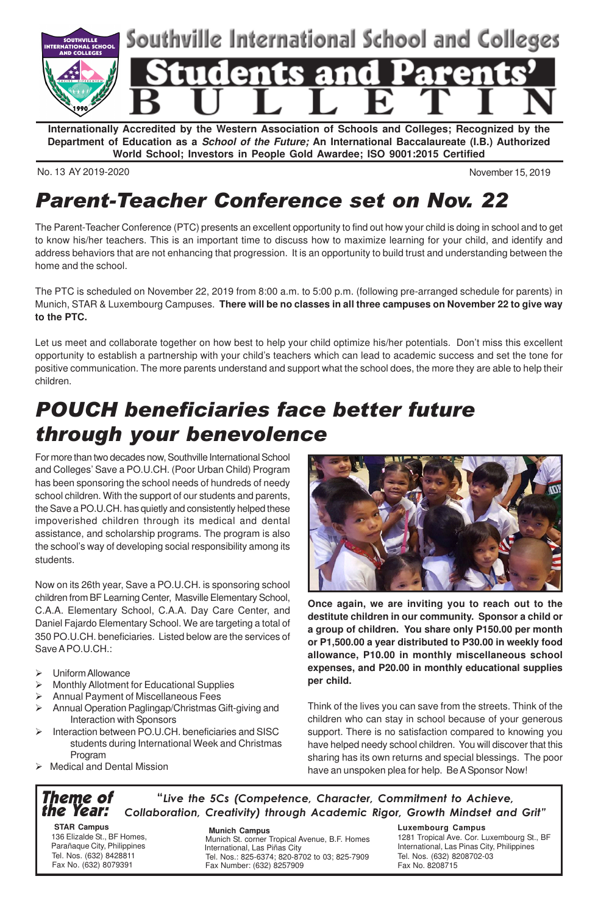

**Internationally Accredited by the Western Association of Schools and Colleges; Recognized by the Department of Education as a School of the Future; An International Baccalaureate (I.B.) Authorized World School; Investors in People Gold Awardee; ISO 9001:2015 Certified**

No. 13 AY 2019-2020 November 15, 2019

## Parent-Teacher Conference set on Nov. 22

The Parent-Teacher Conference (PTC) presents an excellent opportunity to find out how your child is doing in school and to get to know his/her teachers. This is an important time to discuss how to maximize learning for your child, and identify and address behaviors that are not enhancing that progression. It is an opportunity to build trust and understanding between the home and the school.

The PTC is scheduled on November 22, 2019 from 8:00 a.m. to 5:00 p.m. (following pre-arranged schedule for parents) in Munich, STAR & Luxembourg Campuses. **There will be no classes in all three campuses on November 22 to give way to the PTC.**

Let us meet and collaborate together on how best to help your child optimize his/her potentials. Don't miss this excellent opportunity to establish a partnership with your child's teachers which can lead to academic success and set the tone for positive communication. The more parents understand and support what the school does, the more they are able to help their children.

# POUCH beneficiaries face better future through your benevolence

For more than two decades now, Southville International School and Colleges' Save a PO.U.CH. (Poor Urban Child) Program has been sponsoring the school needs of hundreds of needy school children. With the support of our students and parents, the Save a PO.U.CH. has quietly and consistently helped these impoverished children through its medical and dental assistance, and scholarship programs. The program is also the school's way of developing social responsibility among its students.

Now on its 26th year, Save a PO.U.CH. is sponsoring school children from BF Learning Center, Masville Elementary School, C.A.A. Elementary School, C.A.A. Day Care Center, and Daniel Fajardo Elementary School. We are targeting a total of 350 PO.U.CH. beneficiaries. Listed below are the services of Save A PO.U.CH.:

- $\triangleright$  Uniform Allowance
- Ø Monthly Allotment for Educational Supplies
- Ø Annual Payment of Miscellaneous Fees
- Ø Annual Operation Paglingap/Christmas Gift-giving and Interaction with Sponsors
- Ø Interaction between PO.U.CH. beneficiaries and SISC students during International Week and Christmas Program
- $\triangleright$  Medical and Dental Mission



**Once again, we are inviting you to reach out to the destitute children in our community. Sponsor a child or a group of children. You share only P150.00 per month or P1,500.00 a year distributed to P30.00 in weekly food allowance, P10.00 in monthly miscellaneous school expenses, and P20.00 in monthly educational supplies per child.**

Think of the lives you can save from the streets. Think of the children who can stay in school because of your generous support. There is no satisfaction compared to knowing you have helped needy school children. You will discover that this sharing has its own returns and special blessings. The poor have an unspoken plea for help. Be A Sponsor Now!

#### Theme of the Year: "Live the 5Cs (Competence, Character, Commitment to Achieve, Collaboration, Creativity) through Academic Rigor, Growth Mindset and Grit"

 **STAR Campus** 136 Elizalde St., BF Homes, Parañaque City, Philippines Tel. Nos. (632) 8428811 Fax No. (632) 8079391

 **Munich Campus** Munich St. corner Tropical Avenue, B.F. Homes International, Las Piñas City Tel. Nos.: 825-6374; 820-8702 to 03; 825-7909 Fax Number: (632) 8257909

#### **Luxembourg Campus**

1281 Tropical Ave. Cor. Luxembourg St., BF International, Las Pinas City, Philippines Tel. Nos. (632) 8208702-03 Fax No. 8208715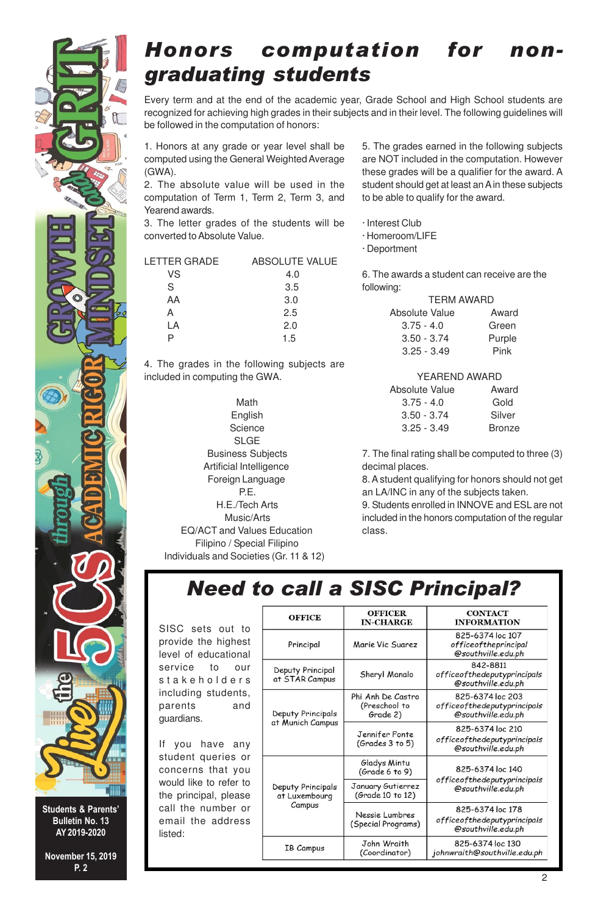

Every term and at the end of the academic year, Grade School and High School students are recognized for achieving high grades in their subjects and in their level. The following guidelines will be followed in the computation of honors:

1. Honors at any grade or year level shall be computed using the General Weighted Average (GWA).

2. The absolute value will be used in the computation of Term 1, Term 2, Term 3, and Yearend awards.

3. The letter grades of the students will be converted to Absolute Value.

| LETTER GRADE | ABSOLUTE VALUE |
|--------------|----------------|
| VS           | 4.0            |
| S            | 3.5            |
| AA           | 3.0            |
| А            | 2.5            |
| LA           | 2.0            |
|              | 1.5            |

4. The grades in the following subjects are included in computing the GWA.

 Math English Science SLGE Business Subjects Artificial Intelligence Foreign Language P.E. H.E./Tech Arts Music/Arts EQ/ACT and Values Education Filipino / Special Filipino Individuals and Societies (Gr. 11 & 12)

5. The grades earned in the following subjects are NOT included in the computation. However these grades will be a qualifier for the award. A student should get at least an A in these subjects to be able to qualify for the award.

- · Interest Club
- · Homeroom/LIFE
- · Deportment

6. The awards a student can receive are the following:

|                | <b>TERM AWARD</b> |        |
|----------------|-------------------|--------|
| Absolute Value |                   | Award  |
| $3.75 - 4.0$   |                   | Green  |
| $3.50 - 3.74$  |                   | Purple |
| $3.25 - 3.49$  |                   | Pink   |

### YEAREND AWARD

| Absolute Value | Award         |
|----------------|---------------|
| $3.75 - 4.0$   | Gold          |
| $3.50 - 3.74$  | Silver        |
| $3.25 - 3.49$  | <b>Bronze</b> |
|                |               |

7. The final rating shall be computed to three (3) decimal places.

8. A student qualifying for honors should not get an LA/INC in any of the subjects taken.

9. Students enrolled in INNOVE and ESL are not included in the honors computation of the regular class.

### Need to call a SISC Principal?

SISC sets out to provide the highes level of educationa service to ou stakeholders including students parents and guardians.

If you have any student queries of concerns that you would like to refer to the principal, please call the number of email the address listed:

| <b>OFFICE</b>                                | <b>OFFICER</b><br><b>IN-CHARGE</b>             | <b>CONTACT</b><br><b>INFORMATION</b>                                  |  |
|----------------------------------------------|------------------------------------------------|-----------------------------------------------------------------------|--|
| Principal                                    | Marie Vic Suarez                               | 825-6374 loc 107<br>officeoftheprincipal<br>@southville.edu.ph        |  |
| Deputy Principal<br>at STAR Campus           | Sheryl Manalo                                  | 842-8811<br>officeofthedeputyprincipals<br>@southville.edu.ph         |  |
| Deputy Principals                            | Phi Anh De Castro<br>(Preschool to<br>Grade 2) | 825-6374 loc 203<br>officeofthedeputyprincipals<br>@southville.edu.ph |  |
| at Munich Campus                             | Jennifer Fonte<br>(Grades 3 to 5)              | 825-6374 loc 210<br>officeofthedeputyprincipals<br>@southville.edu.ph |  |
|                                              | Gladys Mintu<br>(Grade 6 to 9)                 | 825-6374 loc 140                                                      |  |
| Deputy Principals<br>at Luxembourg<br>Campus | January Gutierrez<br>(Grade 10 to 12)          | officeofthedeputyprincipals<br>@southville.edu.ph                     |  |
|                                              | Nessie Lumbres<br>(Special Programs)           | 825-6374 loc 178<br>officeofthedeputyprincipals<br>@southville.edu.ph |  |
| <b>IB Campus</b>                             | John Wraith<br>(Coordinator)                   | 825-6374 loc 130<br>johnwraith@southville.edu.ph                      |  |



Students & Parents' Bulletin No. 13 AY 2019-2020